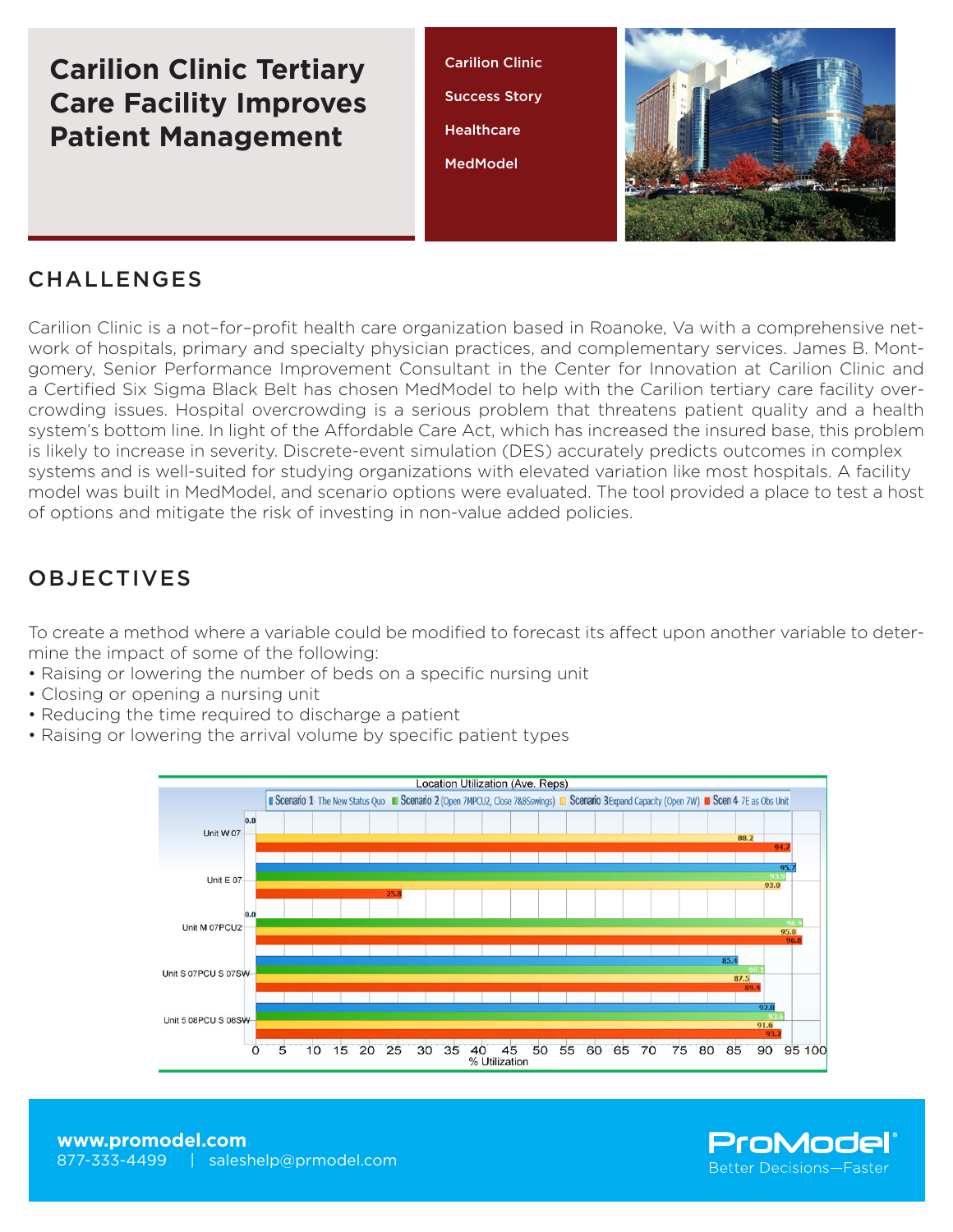# **Carilion Clinic Tertiary Care Facility Improves Patient Management**

Carilion Clinic Success Story **Healthcare** MedModel



#### CHALLENGES

Carilion Clinic is a not–for–profit health care organization based in Roanoke, Va with a comprehensive network of hospitals, primary and specialty physician practices, and complementary services. James B. Montgomery, Senior Performance Improvement Consultant in the Center for Innovation at Carilion Clinic and a Certified Six Sigma Black Belt has chosen MedModel to help with the Carilion tertiary care facility overcrowding issues. Hospital overcrowding is a serious problem that threatens patient quality and a health system's bottom line. In light of the Affordable Care Act, which has increased the insured base, this problem is likely to increase in severity. Discrete-event simulation (DES) accurately predicts outcomes in complex systems and is well-suited for studying organizations with elevated variation like most hospitals. A facility model was built in MedModel, and scenario options were evaluated. The tool provided a place to test a host of options and mitigate the risk of investing in non-value added policies.

## OBJECTIVES

To create a method where a variable could be modified to forecast its affect upon another variable to determine the impact of some of the following:

- Raising or lowering the number of beds on a specific nursing unit
- Closing or opening a nursing unit
- Reducing the time required to discharge a patient
- Raising or lowering the arrival volume by specific patient types